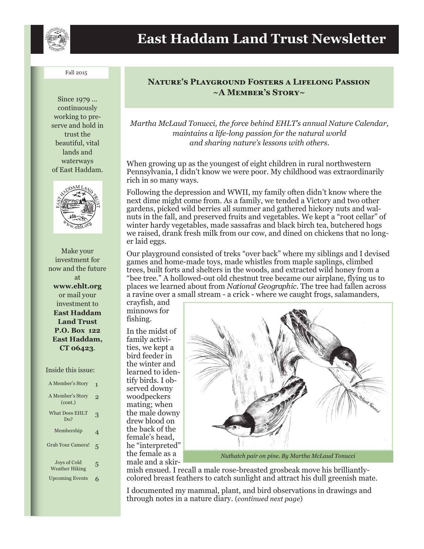

#### Fall 2015

Since 1979 ... continuously working to preserve and hold in trust the beautiful, vital lands and waterways of East Haddam.



Make your investment for now and the future at **www.ehlt.org** or mail your investment to **East Haddam Land Trust P.O. Box 122 East Haddam, CT 06423**.

#### Inside this issue:

| A Member's Story                      | 1 |
|---------------------------------------|---|
| A Member's Story<br>(cont.)           | 9 |
| <b>What Does EHLT</b><br>Do?          | 3 |
| Membership                            | 4 |
| Grab Your Camera!                     | 5 |
| Joys of Cold<br><b>Weather Hiking</b> | 5 |
| <b>Upcoming Events</b>                |   |

## **Nature**'**s Playground Fosters a Lifelong Passion ~A Member**'**s Story~**

*Martha McLaud Tonucci, the force behind EHLT's annual Nature Calendar, maintains a life-long passion for the natural world and sharing nature's lessons with others.*

When growing up as the youngest of eight children in rural northwestern Pennsylvania, I didn't know we were poor. My childhood was extraordinarily rich in so many ways.

Following the depression and WWII, my family often didn't know where the next dime might come from. As a family, we tended a Victory and two other gardens, picked wild berries all summer and gathered hickory nuts and walnuts in the fall, and preserved fruits and vegetables. We kept a "root cellar" of winter hardy vegetables, made sassafras and black birch tea, butchered hogs we raised, drank fresh milk from our cow, and dined on chickens that no longer laid eggs.

Our playground consisted of treks "over back" where my siblings and I devised games and home-made toys, made whistles from maple saplings, climbed trees, built forts and shelters in the woods, and extracted wild honey from a "bee tree." A hollowed-out old chestnut tree became our airplane, flying us to places we learned about from *National Geographic*. The tree had fallen across a ravine over a small stream - a crick - where we caught frogs, salamanders,

crayfish, and minnows for fishing.

In the midst of family activities, we kept a bird feeder in the winter and learned to identify birds. I observed downy woodpeckers mating; when the male downy drew blood on the back of the female's head, he "interpreted" the female as a male and a skir-



*Nuthatch pair on pine. By Martha McLaud Tonucci*

mish ensued. I recall a male rose-breasted grosbeak move his brilliantlycolored breast feathers to catch sunlight and attract his dull greenish mate.

I documented my mammal, plant, and bird observations in drawings and through notes in a nature diary. (*continued next page*)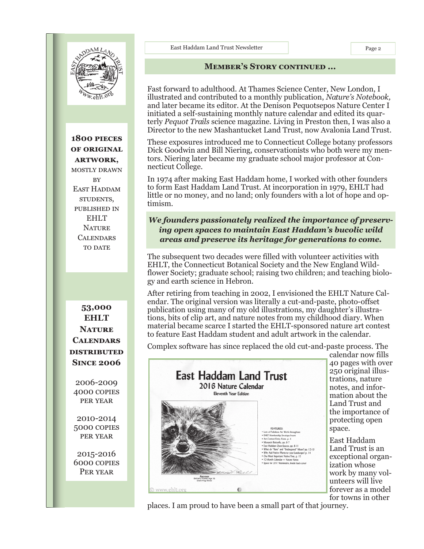

**1800 pieces of original artwork,** mostly drawn **RV** EAST HADDAM students, published in EHLT **NATURE CALENDARS** TO DATE

**53,000 EHLT Nature Calendars distributed Since 2006**

2006-2009 4000 copies per year

2010-2014 5000 copies per year

2015-2016 6000 copies Per year

East Haddam Land Trust Newsletter Page 2

#### **Member**'**s Story continued ...**

Fast forward to adulthood. At Thames Science Center, New London, I illustrated and contributed to a monthly publication, *Nature's Notebook,*  and later became its editor. At the Denison Pequotsepos Nature Center I initiated a self-sustaining monthly nature calendar and edited its quarterly *Pequot Trails* science magazine. Living in Preston then, I was also a Director to the new Mashantucket Land Trust, now Avalonia Land Trust.

These exposures introduced me to Connecticut College botany professors Dick Goodwin and Bill Niering, conservationists who both were my mentors. Niering later became my graduate school major professor at Connecticut College.

In 1974 after making East Haddam home, I worked with other founders to form East Haddam Land Trust. At incorporation in 1979, EHLT had little or no money, and no land; only founders with a lot of hope and optimism.

### *We founders passionately realized the importance of preserving open spaces to maintain East Haddam's bucolic wild areas and preserve its heritage for generations to come.*

The subsequent two decades were filled with volunteer activities with EHLT, the Connecticut Botanical Society and the New England Wildflower Society; graduate school; raising two children; and teaching biology and earth science in Hebron.

After retiring from teaching in 2002, I envisioned the EHLT Nature Calendar. The original version was literally a cut-and-paste, photo-offset publication using many of my old illustrations, my daughter's illustrations, bits of clip art, and nature notes from my childhood diary. When material became scarce I started the EHLT-sponsored nature art contest to feature East Haddam student and adult artwork in the calendar.

Complex software has since replaced the old cut-and-paste process. The



calendar now fills 40 pages with over 250 original illustrations, nature notes, and information about the Land Trust and the importance of protecting open space.

East Haddam Land Trust is an exceptional organization whose work by many volunteers will live forever as a model for towns in other

places. I am proud to have been a small part of that journey.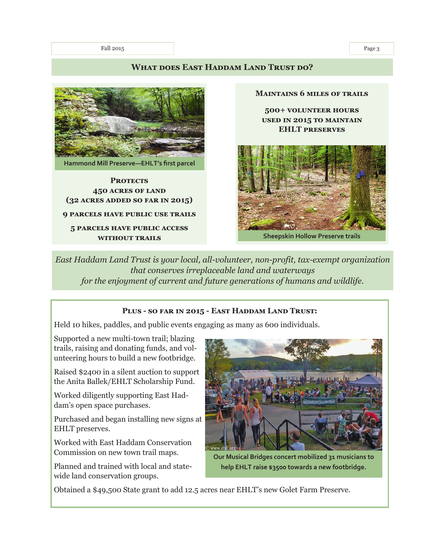Fall 2015 Page 3

### WHAT DOES EAST HADDAM LAND TRUST DO?



**Hammond Mill Preserve—EHLT'**s first parcel

#### **PROTECTS 450 acres of land (32 acres added so far in 2015)**

#### **9 parcels have public use trails**

**5 parcels have public access without trails**

**Maintains 6 miles of trails**

**500+ volunteer hours used in 2015 to maintain EHLT preserves** 



Sheepskin Hollow Preserve trails

*East Haddam Land Trust is your local, all-volunteer, non-profit, tax-exempt organization that conserves irreplaceable land and waterways for the enjoyment of current and future generations of humans and wildlife.*

#### **Plus - so far in 2015 - East Haddam Land Trust:**

Held 10 hikes, paddles, and public events engaging as many as 600 individuals.

Supported a new multi-town trail; blazing trails, raising and donating funds, and volunteering hours to build a new footbridge.

Raised \$2400 in a silent auction to support the Anita Ballek/EHLT Scholarship Fund.

Worked diligently supporting East Haddam's open space purchases.

Purchased and began installing new signs at EHLT preserves.

Worked with East Haddam Conservation Commission on new town trail maps.

Planned and trained with local and statewide land conservation groups.



Our Musical Bridges concert mobilized 31 musicians to help EHLT raise \$3500 towards a new footbridge.

Obtained a \$49,500 State grant to add 12.5 acres near EHLT's new Golet Farm Preserve.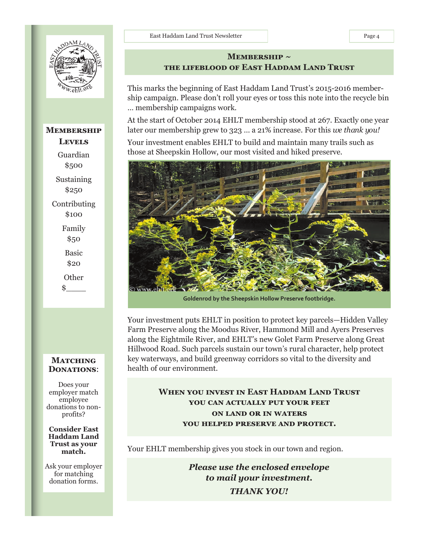

# **Membership Levels** Guardian \$500 Sustaining \$250 Contributing \$100 Family \$50 Basic \$20 **Other**  $\mathbf{\hat{s}}$

## **MATCHING Donations**:

Does your employer match employee donations to nonprofits?

**Consider East Haddam Land Trust as your match.**

Ask your employer for matching donation forms.

## MEMBERSHIP ~ **the lifeblood of East Haddam Land Trust**

This marks the beginning of East Haddam Land Trust's 2015-2016 membership campaign. Please don't roll your eyes or toss this note into the recycle bin … membership campaigns work.

At the start of October 2014 EHLT membership stood at 267. Exactly one year later our membership grew to 323 … a 21% increase. For this *we thank you!*

Your investment enables EHLT to build and maintain many trails such as those at Sheepskin Hollow, our most visited and hiked preserve.



**Goldenrod by the Sheepskin Hollow Preserve footbridge.** 

Your investment puts EHLT in position to protect key parcels—Hidden Valley Farm Preserve along the Moodus River, Hammond Mill and Ayers Preserves along the Eightmile River, and EHLT's new Golet Farm Preserve along Great Hillwood Road. Such parcels sustain our town's rural character, help protect key waterways, and build greenway corridors so vital to the diversity and health of our environment.

## **When you invest in East Haddam Land Trust you can actually put your feet on land or in waters you helped preserve and protect.**

Your EHLT membership gives you stock in our town and region.

*Please use the enclosed envelope to mail your investment. THANK YOU!*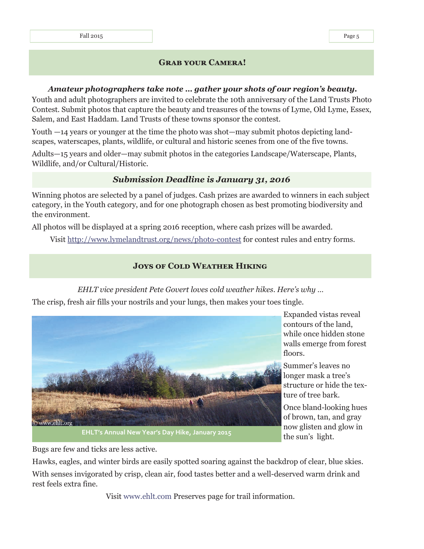## **Grab your Camera!**

#### *Amateur photographers take note … gather your shots of our region's beauty.*

Youth and adult photographers are invited to celebrate the 10th anniversary of the Land Trusts Photo Contest. Submit photos that capture the beauty and treasures of the towns of Lyme, Old Lyme, Essex, Salem, and East Haddam. Land Trusts of these towns sponsor the contest.

Youth —14 years or younger at the time the photo was shot—may submit photos depicting landscapes, waterscapes, plants, wildlife, or cultural and historic scenes from one of the five towns.

Adults—15 years and older—may submit photos in the categories Landscape/Waterscape, Plants, Wildlife, and/or Cultural/Historic.

## *Submission Deadline is January 31, 2016*

Winning photos are selected by a panel of judges. Cash prizes are awarded to winners in each subject category, in the Youth category, and for one photograph chosen as best promoting biodiversity and the environment.

All photos will be displayed at a spring 2016 reception, where cash prizes will be awarded.

Visit http://www.lymelandtrust.org/news/photo-contest for contest rules and entry forms.

## **Joys of Cold Weather Hiking**

*EHLT vice president Pete Govert loves cold weather hikes. Here's why …*

The crisp, fresh air fills your nostrils and your lungs, then makes your toes tingle.



Expanded vistas reveal contours of the land, while once hidden stone walls emerge from forest floors.

Summer's leaves no longer mask a tree's structure or hide the texture of tree bark.

Once bland-looking hues of brown, tan, and gray now glisten and glow in the sun's light.

Bugs are few and ticks are less active.

Hawks, eagles, and winter birds are easily spotted soaring against the backdrop of clear, blue skies. With senses invigorated by crisp, clean air, food tastes better and a well-deserved warm drink and rest feels extra fine.

Visit www.ehlt.com Preserves page for trail information.